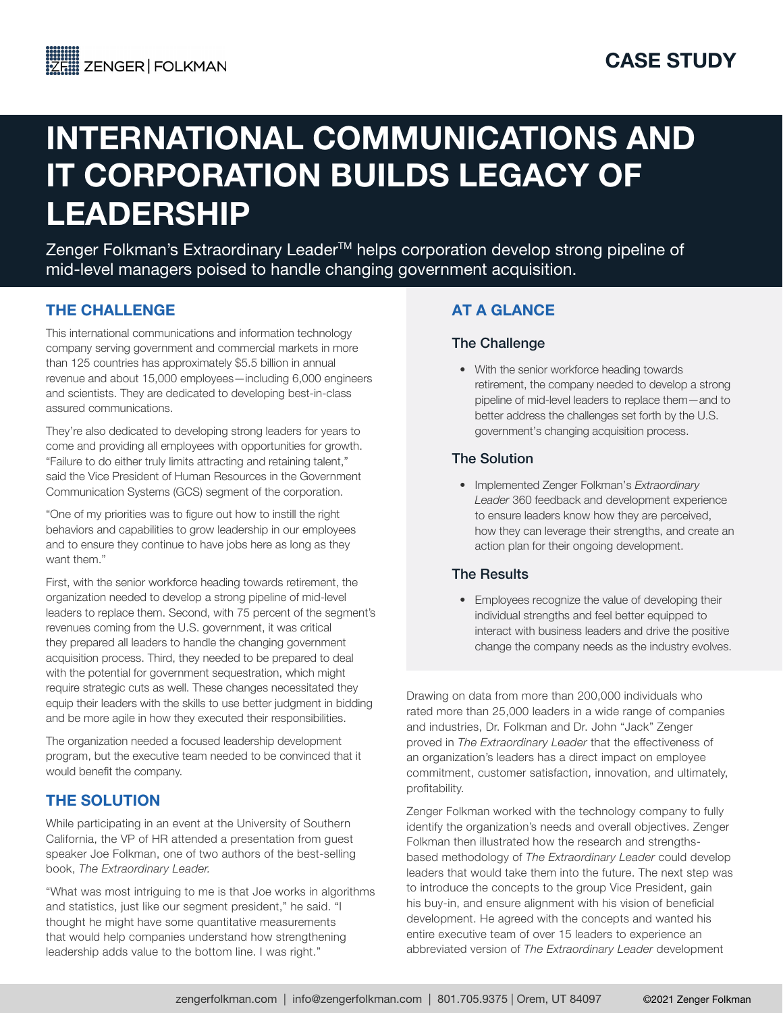# INTERNATIONAL COMMUNICATIONS AND IT CORPORATION BUILDS LEGACY OF LEADERSHIP

Zenger Folkman's Extraordinary Leader<sup>™</sup> helps corporation develop strong pipeline of mid-level managers poised to handle changing government acquisition.

## THE CHALLENGE

This international communications and information technology company serving government and commercial markets in more than 125 countries has approximately \$5.5 billion in annual revenue and about 15,000 employees—including 6,000 engineers and scientists. They are dedicated to developing best-in-class assured communications.

They're also dedicated to developing strong leaders for years to come and providing all employees with opportunities for growth. "Failure to do either truly limits attracting and retaining talent," said the Vice President of Human Resources in the Government Communication Systems (GCS) segment of the corporation.

"One of my priorities was to figure out how to instill the right behaviors and capabilities to grow leadership in our employees and to ensure they continue to have jobs here as long as they want them."

First, with the senior workforce heading towards retirement, the organization needed to develop a strong pipeline of mid-level leaders to replace them. Second, with 75 percent of the segment's revenues coming from the U.S. government, it was critical they prepared all leaders to handle the changing government acquisition process. Third, they needed to be prepared to deal with the potential for government sequestration, which might require strategic cuts as well. These changes necessitated they equip their leaders with the skills to use better judgment in bidding and be more agile in how they executed their responsibilities.

The organization needed a focused leadership development program, but the executive team needed to be convinced that it would benefit the company.

## THE SOLUTION

While participating in an event at the University of Southern California, the VP of HR attended a presentation from guest speaker Joe Folkman, one of two authors of the best-selling book, *The Extraordinary Leader.*

"What was most intriguing to me is that Joe works in algorithms and statistics, just like our segment president," he said. "I thought he might have some quantitative measurements that would help companies understand how strengthening leadership adds value to the bottom line. I was right."

## AT A GLANCE

#### The Challenge

• With the senior workforce heading towards retirement, the company needed to develop a strong pipeline of mid-level leaders to replace them—and to better address the challenges set forth by the U.S. government's changing acquisition process.

#### The Solution

• Implemented Zenger Folkman's *Extraordinary Leader* 360 feedback and development experience to ensure leaders know how they are perceived, how they can leverage their strengths, and create an action plan for their ongoing development.

### The Results

• Employees recognize the value of developing their individual strengths and feel better equipped to interact with business leaders and drive the positive change the company needs as the industry evolves.

Drawing on data from more than 200,000 individuals who rated more than 25,000 leaders in a wide range of companies and industries, Dr. Folkman and Dr. John "Jack" Zenger proved in *The Extraordinary Leader* that the effectiveness of an organization's leaders has a direct impact on employee commitment, customer satisfaction, innovation, and ultimately, profitability.

Zenger Folkman worked with the technology company to fully identify the organization's needs and overall objectives. Zenger Folkman then illustrated how the research and strengthsbased methodology of *The Extraordinary Leader* could develop leaders that would take them into the future. The next step was to introduce the concepts to the group Vice President, gain his buy-in, and ensure alignment with his vision of beneficial development. He agreed with the concepts and wanted his entire executive team of over 15 leaders to experience an abbreviated version of *The Extraordinary Leader* development